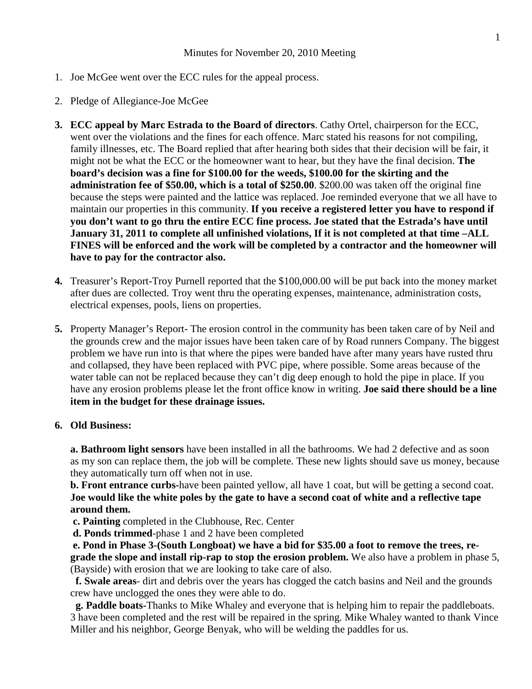# Minutes for November 20, 2010 Meeting

- 1. Joe McGee went over the ECC rules for the appeal process.
- 2. Pledge of Allegiance-Joe McGee
- **3. ECC appeal by Marc Estrada to the Board of directors**. Cathy Ortel, chairperson for the ECC, went over the violations and the fines for each offence. Marc stated his reasons for not compiling, family illnesses, etc. The Board replied that after hearing both sides that their decision will be fair, it might not be what the ECC or the homeowner want to hear, but they have the final decision. **The board's decision was a fine for \$100.00 for the weeds, \$100.00 for the skirting and the administration fee of \$50.00, which is a total of \$250.00**. \$200.00 was taken off the original fine because the steps were painted and the lattice was replaced. Joe reminded everyone that we all have to maintain our properties in this community. **If you receive a registered letter you have to respond if you don't want to go thru the entire ECC fine process. Joe stated that the Estrada's have until January 31, 2011 to complete all unfinished violations, If it is not completed at that time –ALL FINES will be enforced and the work will be completed by a contractor and the homeowner will have to pay for the contractor also.**
- **4.** Treasurer's Report-Troy Purnell reported that the \$100,000.00 will be put back into the money market after dues are collected. Troy went thru the operating expenses, maintenance, administration costs, electrical expenses, pools, liens on properties.
- **5.** Property Manager's Report- The erosion control in the community has been taken care of by Neil and the grounds crew and the major issues have been taken care of by Road runners Company. The biggest problem we have run into is that where the pipes were banded have after many years have rusted thru and collapsed, they have been replaced with PVC pipe, where possible. Some areas because of the water table can not be replaced because they can't dig deep enough to hold the pipe in place. If you have any erosion problems please let the front office know in writing. **Joe said there should be a line item in the budget for these drainage issues.**

### **6. Old Business:**

**a. Bathroom light sensors** have been installed in all the bathrooms. We had 2 defective and as soon as my son can replace them, the job will be complete. These new lights should save us money, because they automatically turn off when not in use.

**b. Front entrance curbs-**have been painted yellow, all have 1 coat, but will be getting a second coat. **Joe would like the white poles by the gate to have a second coat of white and a reflective tape around them.**

**c. Painting** completed in the Clubhouse, Rec. Center

**d. Ponds trimmed**-phase 1 and 2 have been completed

**e. Pond in Phase 3-(South Longboat) we have a bid for \$35.00 a foot to remove the trees, regrade the slope and install rip-rap to stop the erosion problem.** We also have a problem in phase 5, (Bayside) with erosion that we are looking to take care of also.

**f. Swale areas**- dirt and debris over the years has clogged the catch basins and Neil and the grounds crew have unclogged the ones they were able to do.

**g. Paddle boats-**Thanks to Mike Whaley and everyone that is helping him to repair the paddleboats. 3 have been completed and the rest will be repaired in the spring. Mike Whaley wanted to thank Vince Miller and his neighbor, George Benyak, who will be welding the paddles for us.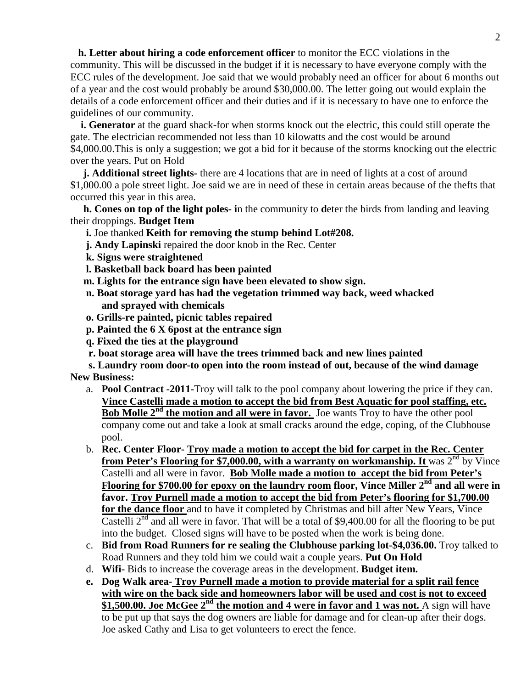**h. Letter about hiring a code enforcement officer** to monitor the ECC violations in the community. This will be discussed in the budget if it is necessary to have everyone comply with the ECC rules of the development. Joe said that we would probably need an officer for about 6 months out of a year and the cost would probably be around \$30,000.00. The letter going out would explain the details of a code enforcement officer and their duties and if it is necessary to have one to enforce the guidelines of our community.

**i.** Generator at the guard shack-for when storms knock out the electric, this could still operate the gate. The electrician recommended not less than 10 kilowatts and the cost would be around \$4,000.00.This is only a suggestion; we got a bid for it because of the storms knocking out the electric over the years. Put on Hold

**j. Additional street lights-** there are 4 locations that are in need of lights at a cost of around \$1,000.00 a pole street light. Joe said we are in need of these in certain areas because of the thefts that occurred this year in this area.

**h. Cones on top of the light poles- i**n the community to **d**eter the birds from landing and leaving their droppings. **Budget Item**

- **i.** Joe thanked **Keith for removing the stump behind Lot#208.**
- **j. Andy Lapinski** repaired the door knob in the Rec. Center
- **k. Signs were straightened**
- **l. Basketball back board has been painted**
- **m. Lights for the entrance sign have been elevated to show sign.**
- **n. Boat storage yard has had the vegetation trimmed way back, weed whacked and sprayed with chemicals**
- **o. Grills-re painted, picnic tables repaired**
- **p. Painted the 6 X 6post at the entrance sign**
- **q. Fixed the ties at the playground**
- **r. boat storage area will have the trees trimmed back and new lines painted**

**s. Laundry room door-to open into the room instead of out, because of the wind damage New Business:**

- a. **Pool Contract -2011-**Troy will talk to the pool company about lowering the price if they can. **Vince Castelli made a motion to accept the bid from Best Aquatic for pool staffing, etc. Bob Molle 2<sup>nd</sup> the motion and all were in favor.** Joe wants Troy to have the other pool company come out and take a look at small cracks around the edge, coping, of the Clubhouse pool.
- b. **Rec. Center Floor- Troy made a motion to accept the bid for carpet in the Rec. Center from Peter's Flooring for \$7,000.00, with a warranty on workmanship. It** was 2<sup>nd</sup> by Vince Castelli and all were in favor. **Bob Molle made a motion to accept the bid from Peter's Flooring for \$700.00 for epoxy on the laundry room floor, Vince Miller 2nd and all were in favor. Troy Purnell made a motion to accept the bid from Peter's flooring for \$1,700.00 for the dance floor** and to have it completed by Christmas and bill after New Years, Vince Castelli  $2^{nd}$  and all were in favor. That will be a total of \$9,400.00 for all the flooring to be put into the budget. Closed signs will have to be posted when the work is being done.
- c. **Bid from Road Runners for re sealing the Clubhouse parking lot-\$4,036.00.** Troy talked to Road Runners and they told him we could wait a couple years. **Put On Hold**
- d. **Wifi-** Bids to increase the coverage areas in the development. **Budget item.**
- **e. Dog Walk area- Troy Purnell made a motion to provide material for a split rail fence with wire on the back side and homeowners labor will be used and cost is not to exceed \$1,500.00. Joe McGee 2nd the motion and 4 were in favor and 1 was not.** A sign will have to be put up that says the dog owners are liable for damage and for clean-up after their dogs. Joe asked Cathy and Lisa to get volunteers to erect the fence.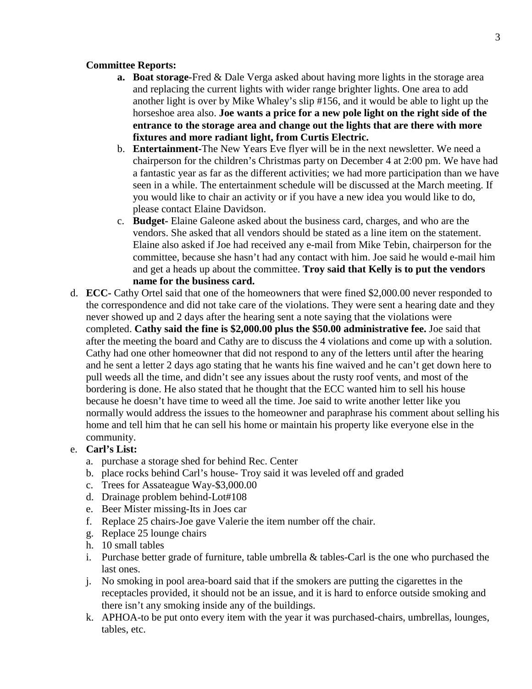# **Committee Reports:**

- **a. Boat storage-**Fred & Dale Verga asked about having more lights in the storage area and replacing the current lights with wider range brighter lights. One area to add another light is over by Mike Whaley's slip #156, and it would be able to light up the horseshoe area also. **Joe wants a price for a new pole light on the right side of the entrance to the storage area and change out the lights that are there with more fixtures and more radiant light, from Curtis Electric.**
- b. **Entertainment-**The New Years Eve flyer will be in the next newsletter. We need a chairperson for the children's Christmas party on December 4 at 2:00 pm. We have had a fantastic year as far as the different activities; we had more participation than we have seen in a while. The entertainment schedule will be discussed at the March meeting. If you would like to chair an activity or if you have a new idea you would like to do, please contact Elaine Davidson.
- c. **Budget-** Elaine Galeone asked about the business card, charges, and who are the vendors. She asked that all vendors should be stated as a line item on the statement. Elaine also asked if Joe had received any e-mail from Mike Tebin, chairperson for the committee, because she hasn't had any contact with him. Joe said he would e-mail him and get a heads up about the committee. **Troy said that Kelly is to put the vendors name for the business card.**
- d. **ECC-** Cathy Ortel said that one of the homeowners that were fined \$2,000.00 never responded to the correspondence and did not take care of the violations. They were sent a hearing date and they never showed up and 2 days after the hearing sent a note saying that the violations were completed. **Cathy said the fine is \$2,000.00 plus the \$50.00 administrative fee.** Joe said that after the meeting the board and Cathy are to discuss the 4 violations and come up with a solution. Cathy had one other homeowner that did not respond to any of the letters until after the hearing and he sent a letter 2 days ago stating that he wants his fine waived and he can't get down here to pull weeds all the time, and didn't see any issues about the rusty roof vents, and most of the bordering is done. He also stated that he thought that the ECC wanted him to sell his house because he doesn't have time to weed all the time. Joe said to write another letter like you normally would address the issues to the homeowner and paraphrase his comment about selling his home and tell him that he can sell his home or maintain his property like everyone else in the community.

# e. **Carl's List:**

- a. purchase a storage shed for behind Rec. Center
- b. place rocks behind Carl's house- Troy said it was leveled off and graded
- c. Trees for Assateague Way-\$3,000.00
- d. Drainage problem behind-Lot#108
- e. Beer Mister missing-Its in Joes car
- f. Replace 25 chairs-Joe gave Valerie the item number off the chair.
- g. Replace 25 lounge chairs
- h. 10 small tables
- i. Purchase better grade of furniture, table umbrella & tables-Carl is the one who purchased the last ones.
- j. No smoking in pool area-board said that if the smokers are putting the cigarettes in the receptacles provided, it should not be an issue, and it is hard to enforce outside smoking and there isn't any smoking inside any of the buildings.
- k. APHOA-to be put onto every item with the year it was purchased-chairs, umbrellas, lounges, tables, etc.